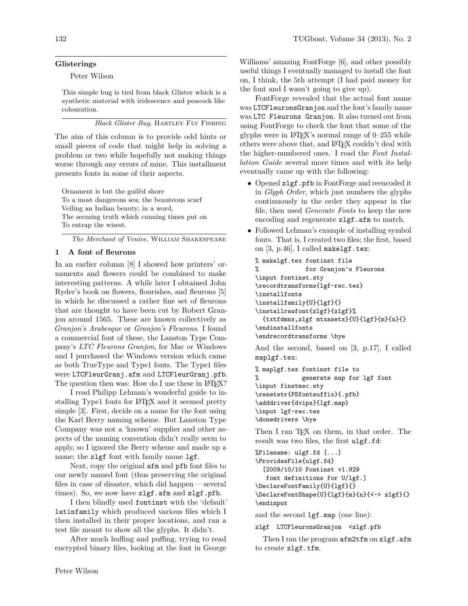## **Glisterings**

Peter Wilson

This simple bug is tied from black Glister which is a synthetic material with iridescence and peacock like colouration.

*Black Glister Bug*, Hartley Fly Fishing

The aim of this column is to provide odd hints or small pieces of code that might help in solving a problem or two while hopefully not making things worse through any errors of mine. This installment presents fonts in some of their aspects.

Ornament is but the guilèd shore To a most dangerous sea; the beauteous scarf Veiling an Indian beauty; in a word, The seeming truth which cunning times put on To entrap the wisest.

*The Merchant of Venice*, William Shakespeare

## **1 A font of fleurons**

In an earlier column [8] I showed how printers' ornaments and flowers could be combined to make interesting patterns. A while later I obtained John Ryder's book on flowers, flourishes, and fleurons [5] in which he discussed a rather fine set of fleurons that are thought to have been cut by Robert Granjon around 1565. These are known collectively as *Granjon's Arabesque* or *Granjon's Fleurons*. I found a commercial font of these, the Lanston Type Company's *LTC Fleurons Granjon*, for Mac or Windows and I purchased the Windows version which came as both TrueType and Type1 fonts. The Type1 files were LTCFleurGranj.afm and LTCFleurGranj.pfb. The question then was: How do I use these in LAT<sub>EX</sub>?

I read Philipp Lehman's wonderful guide to installing Type1 fonts for LAT<sub>EX</sub> and it seemed pretty simple [3]. First, decide on a name for the font using the Karl Berry naming scheme. But Lanston Type Company was not a 'known' supplier and other aspects of the naming convention didn't really seem to apply, so I ignored the Berry scheme and made up a name; the zlgf font with family name lgf.

Next, copy the original afm and pfb font files to our newly named font (thus preserving the original files in case of disaster, which did happen— several times). So, we now have zlgf.afm and zlgf.pfb.

I then blindly used fontinst with the 'default' latinfamily which produced various files which I then installed in their proper locations, and ran a test file meant to show all the glyphs. It didn't.

After much huffing and puffing, trying to read encrypted binary files, looking at the font in George

Williams' amazing FontForge [6], and other possibly useful things I eventually managed to install the font on, I think, the 5th attempt (I had paid money for the font and I wasn't going to give up).

FontForge revealed that the actual font name was LTCFleuronsGranjon and the font's family name was LTC Fleurons Granjon. It also turned out from using FontForge to check the font that some of the glyphs were in LAT<sub>EX</sub>'s normal range of  $0-255$  while others were above that, and LATEX couldn't deal with the higher-numbered ones. I read the *Font Installation Guide* several more times and with its help eventually came up with the following:

- Opened zlgf.pfb in FontForge and reencoded it in *Glyph Order*, which just numbers the glyphs continuously in the order they appear in the file, then used *Generate Fonts* to keep the new encoding and regenerate **zlgf**.**afm** to match.
- Followed Lehman's example of installing symbol fonts. That is, I created two files; the first, based on  $[3, p.46]$ , I called makelgf.tex:

```
% makelgf.tex fontinst file
% for Granjon's Fleurons
\input fontinst.sty
\recordtransforms{lgf-rec.tex}
\installfonts
\installfamily{U}{lgf}{}
\installrawfont{zlgf}{zlgf}%
 {txtfdmns,zlgf mtxasetx}{U}{lgf}{m}{n}{}
\endinstallfonts
\endrecordtransforms \bye
And the second, based on [3, p.17], I called
maplgf.tex:
% maplgf.tex fontinst file to
% generate map for lgf font
\input finstmsc.sty
```

```
\resetstr{PSfontsuffix}{.pfb}
\adddriver{dvips}{lgf.map}
\input lgf-rec.tex
\donedrivers \bye
```
Then I ran T<sub>F</sub>X on them, in that order. The result was two files, the first ulgf.fd:

```
%Filename: ulgf.fd [...]
\ProvidesFile{ulgf.fd}
  [2009/10/10 Fontinst v1.929
  font definitions for U/lgf.]
\DeclareFontFamily{U}{lgf}{}
\DeclareFontShape{U}{lgf}{m}{n}{<-> zlgf}{}
\endinput
```
and the second lgf.map (one line):

zlgf LTCFleuronsGranjon <zlgf.pfb

Then I ran the program afm2tfm on zlgf.afm to create zlgf.tfm.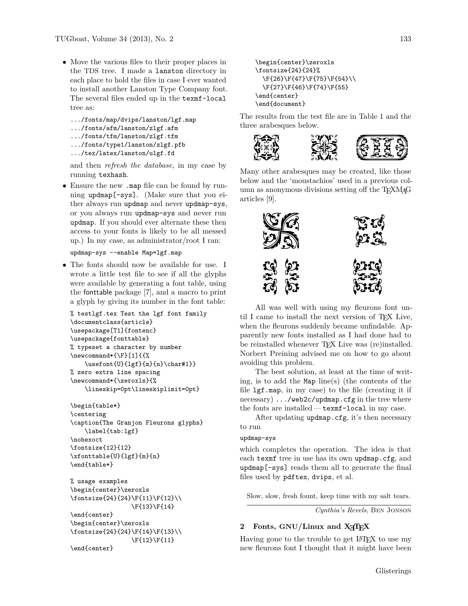- Move the various files to their proper places in the TDS tree. I made a lanston directory in each place to hold the files in case I ever wanted to install another Lanston Type Company font. The several files ended up in the texmf-local tree as:
	- .../fonts/map/dvips/lanston/lgf.map
	- .../fonts/afm/lanston/zlgf.afm
	- .../fonts/tfm/lanston/zlgf.tfm
	- .../fonts/type1/lanston/zlgf.pfb
	- .../tex/latex/lanston/ulgf.fd

and then *refresh the database*, in my case by running texhash.

• Ensure the new .map file can be found by running updmap[-sys]. (Make sure that you either always run updmap and never updmap-sys, or you always run updmap-sys and never run updmap. If you should ever alternate these then access to your fonts is likely to be all messed up.) In my case, as administrator/root I ran:

```
updmap-sys --enable Map=lgf.map
```
• The fonts should now be available for use. I wrote a little test file to see if all the glyphs were available by generating a font table, using the fonttable package [7], and a macro to print a glyph by giving its number in the font table:

```
% testlgf.tex Test the lgf font family
\documentclass{article}
\usepackage[T1]{fontenc}
\usepackage{fonttable}
% typeset a character by number
\newcommand*{\F}[1]{f{\usefont{U}{lgf}{m}{n}\char#1}}
% zero extra line spacing
\newcommand*{\zeroxls}{%
    \lineskip=0pt\lineskiplimit=0pt}
```
\begin{table\*} \centering \caption{The Granjon Fleurons glyphs} \label{tab:lgf} \nohexoct \fontsize{12}{12} \xfonttable{U}{lgf}{m}{n} \end{table\*}

% usage examples \begin{center}\zeroxls \fontsize{24}{24}\F{11}\F{12}\\ \F{13}\F{14}

\end{center} \begin{center}\zeroxls \fontsize{24}{24}\F{14}\F{13}\\ \F{12}\F{11} \end{center}

```
\begin{center}\zeroxls
\fontsize{24}{24}%
 \F{26}\F{47}\F{75}\F{54}\\
 \F{27}\F{46}\F{74}\F{55}
\end{center}
\end{document}
```
The results from the test file are in Table 1 and the three arabesques below.



Many other arabesques may be created, like those below and the 'moustachios' used in a previous column as anonymous divisions setting off the T<sub>E</sub>XM<sub>A</sub>G articles [9].



All was well with using my fleurons font until I came to install the next version of TEX Live, when the fleurons suddenly became unfindable. Apparently new fonts installed as I had done had to be reinstalled whenever TFX Live was (re)installed. Norbert Preining advised me on how to go about avoiding this problem.

The best solution, at least at the time of writing, is to add the Map line(s) (the contents of the file lgf.map, in my case) to the file (creating it if necessary) .../web2c/updmap.cfg in the tree where the fonts are installed— texmf-local in my case.

After updating updmap.cfg, it's then necessary to run

#### updmap-sys

which completes the operation. The idea is that each texmf tree in use has its own updmap.cfg, and updmap[-sys] reads them all to generate the final files used by pdftex, dvips, et al.

Slow, slow, fresh fount, keep time with my salt tears.

*Cynthia's Revels*, Ben Jonson

# **2 Fonts, GNU/Linux and X TEEX**

Having gone to the trouble to get LAT<sub>EX</sub> to use my new fleurons font I thought that it might have been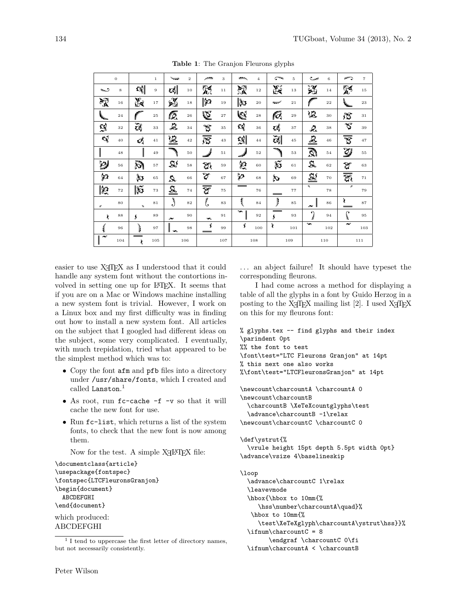| $\boldsymbol{0}$ |     |                 | $\mathbf 1$ | $\overline{\phantom{a}}$ | $\overline{2}$ | يعصر                      | 3      | 一                   | $\overline{4}$ | يعبى           | 5           | ییں            | 6   | ా              | $\overline{7}$ |
|------------------|-----|-----------------|-------------|--------------------------|----------------|---------------------------|--------|---------------------|----------------|----------------|-------------|----------------|-----|----------------|----------------|
| ف                | 8   | ₹G∥             | 9           | t\$                      | 10             | 脎                         | 11     | 深                   | $1\,2$         | 蹊              | $1\,3$      | $\mathcal{X}$  | 14  | 彩              | $1\,5$         |
| 深                | 16  | 践               | 17          | 光                        | $18\,$         | ∥ધ્રુ                     | 19     | $\mathbb{R}$        | 20             | $\overline{ }$ | 21          |                | 22  |                | 23             |
| $\mathscr{C}$    | 24  |                 | 25          | t.                       | 26             | V.                        | 27     | <b>S</b>            | 28             | 6              | 29          | YC.            | 30  | $\mathfrak{F}$ | 31             |
| 옃                | 32  | $\vec{c}$       | 33          | Ë.                       | 34             | ত্ত                       | 35     | CG)                 | 36             | t,             | 37          | Ŀ.             | 38  | $\mathfrak{S}$ | 39             |
| cj               | 40  | ଔ               | 41          | <u>ie</u>                | 42             | ক্টি                      | 43     | 뎷                   | 44             | $\vec{c}$      | 45          | $\mathcal{E}$  | 46  | ত্ত            | 47             |
|                  | 48  |                 | 49          |                          | 50             |                           | $5\,1$ | A                   | 52             |                | $^{\rm 53}$ | $\mathfrak{D}$ | 54  | $\mathcal{Y}$  | 55             |
| $\mathcal{D}$    | 56  | ð.              | 57          | 55                       | 58             | $\mathfrak{A}$            | 59     | ల్ల                 | 60             | $\mathfrak{F}$ | 61          | 5.             | 62  | $\mathfrak{g}$ | 63             |
| دع)              | 64  | لى<br>م         | 65          | $\Omega$                 | 66             | જે                        | 67     | وعإ                 | 68             | ঠি             | 69          | 55             | 70  | ক্তি           | 71             |
| 2                | 72  | $ \mathfrak{F}$ | 73          | <u>a</u>                 | 74             | $\overline{\overline{v}}$ | 75     | $\hspace{0.05cm} =$ | 76             |                | $7\,7$      | ц              | 78  | Þ              | 79             |
| $\tau$           | 80  | $\mu$           | 81          | ∛<br>$\cdot$             | 82             | $\ell$                    | 83     | 1                   | 84             | $\parallel$    | 85          | ىد             | 86  | y              | 87             |
| λ                | 88  | s               | 89          | ىد                       | 90             | GR.                       | 91     | جد                  | 92             | __<br>s        | 93          | െ              | 94  | $\epsilon$     | 95             |
| 1                | 96  | ŀ               | 97          | $\sim$<br>Ш              | 98             | s                         | 99     | Š                   | 100            | ð              | $1\,0\,1$   | دد             | 102 | $\sim$         | 103            |
| $\epsilon$       | 104 | 105<br>106<br>ŝ |             |                          | 107            | 108                       |        | 109                 |                | 110            |             | 111            |     |                |                |

Table 1: The Granjon Fleurons glyphs

easier to use XAIEX as I understood that it could handle any system font without the contortions involved in setting one up for IATEX. It seems that if you are on a Mac or Windows machine installing a new system font is trivial. However, I work on a Linux box and my first difficulty was in finding out how to install a new system font. All articles on the subject that I googled had different ideas on the subject, some very complicated. I eventually, with much trepidation, tried what appeared to be the simplest method which was to:

- Copy the font afm and pfb files into a directory under /usr/share/fonts, which I created and called Lanston. $<sup>1</sup>$ </sup>
- As root, run fc-cache -f -v so that it will cache the new font for use.
- Run fc-list, which returns a list of the system fonts, to check that the new font is now among them.

Now for the test. A simple X<sub>H</sub>IAT<sub>F</sub>X file:

\documentclass{article} \usepackage{fontspec} \fontspec{LTCF1euronsGranjon} \begin{document} ABCDEFGHI \end{document} which produced: **ABCDEFGHI** 

... an abject failure! It should have typeset the corresponding fleurons.

I had come across a method for displaying a table of all the glyphs in a font by Guido Herzog in a posting to the X<sub>T</sub>T<sub>F</sub>X mailing list [2]. I used X<sub>T</sub>T<sub>F</sub>X on this for my fleurons font:

```
% glyphs.tex -- find glyphs and their index
\parindent 0pt
%% the font to test
\font\test="LTC Fleurons Granjon" at 14pt
% this next one also works
%\font\test="LTCFleuronsGranjon" at 14pt
\newcount\charcountA \charcountA 0
\newcount\charcountB
 \charcountB \XeTeXcountglyphs\test
  \advance\charcountB -1\relax
\newcount\charcountC \charcountC 0
\def\ystrut{%
  \vrule height 15pt depth 5.5pt width Opt}
\advance\vsize 4\baselineskip
```

```
\loop
```

```
\advance\charcountC 1\relax
\leavevmode
\hbox{\hbox to 10mm{%
  \hss\number\charcountA\quad}%
\hbox to 10mm{%
  \test\XeTeXglyph\charcountA\ystrut\hss}}%
\ifnum\char'\endgraf \charcountC 0\fi
\ifnum\charcountA < \charcountB
```
 $1$  I tend to uppercase the first letter of directory names, but not necessarily consistently.